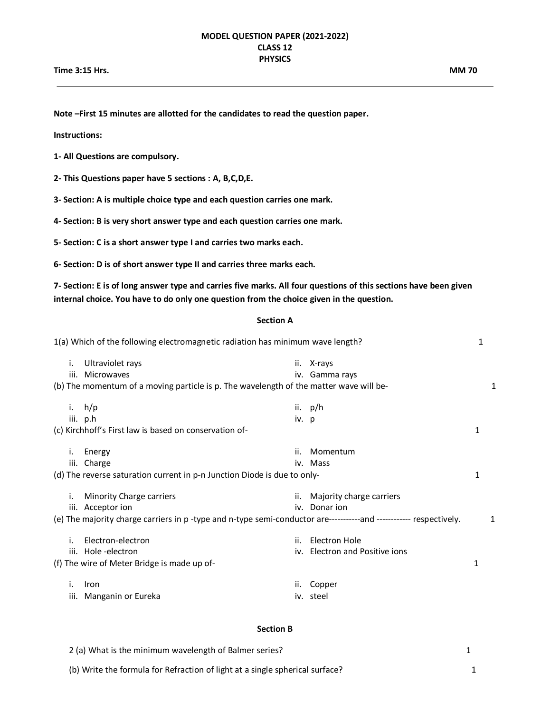**Note –First 15 minutes are allotted for the candidates to read the question paper.**

**Instructions:** 

**1- All Questions are compulsory.**

**2- This Questions paper have 5 sections : A, B,C,D,E.**

**3- Section: A is multiple choice type and each question carries one mark.**

**4- Section: B is very short answer type and each question carries one mark.**

**5- Section: C is a short answer type I and carries two marks each.**

**6- Section: D is of short answer type II and carries three marks each.**

**7- Section: E is of long answer type and carries five marks. All four questions of this sections have been given internal choice. You have to do only one question from the choice given in the question.**

## **Section A**

| 1(a) Which of the following electromagnetic radiation has minimum wave length? |    |                                                                                                                    |       |                                | 1 |   |
|--------------------------------------------------------------------------------|----|--------------------------------------------------------------------------------------------------------------------|-------|--------------------------------|---|---|
|                                                                                | i. | Ultraviolet rays<br>iii. Microwaves                                                                                |       | ii. X-rays<br>iv. Gamma rays   |   |   |
|                                                                                |    | (b) The momentum of a moving particle is p. The wavelength of the matter wave will be-                             |       |                                |   | 1 |
|                                                                                |    | i. $h/p$                                                                                                           |       | ii. $p/h$                      |   |   |
|                                                                                |    | iii. p.h                                                                                                           | iv. p |                                |   |   |
|                                                                                |    | (c) Kirchhoff's First law is based on conservation of-                                                             |       |                                | 1 |   |
|                                                                                | i. | Energy                                                                                                             | ii.   | Momentum                       |   |   |
|                                                                                |    | iii. Charge                                                                                                        |       | iv. Mass                       |   |   |
|                                                                                |    | (d) The reverse saturation current in p-n Junction Diode is due to only-                                           |       |                                |   |   |
|                                                                                | i. | Minority Charge carriers                                                                                           |       | ii. Majority charge carriers   |   |   |
|                                                                                |    | iii. Acceptor ion                                                                                                  |       | iv. Donar ion                  |   |   |
|                                                                                |    | (e) The majority charge carriers in p-type and n-type semi-conductor are------------and ------------ respectively. |       |                                |   | 1 |
|                                                                                | i. | Electron-electron                                                                                                  | ii.   | Electron Hole                  |   |   |
|                                                                                |    | iii. Hole -electron                                                                                                |       | iv. Electron and Positive ions |   |   |
|                                                                                |    | (f) The wire of Meter Bridge is made up of-                                                                        |       |                                | 1 |   |
|                                                                                | Τ. | <b>Iron</b>                                                                                                        | ii.   | Copper                         |   |   |
|                                                                                |    | iii. Manganin or Eureka                                                                                            |       | iv. steel                      |   |   |
|                                                                                |    |                                                                                                                    |       |                                |   |   |

## **Section B**

| 2 (a) What is the minimum wavelength of Balmer series?                       |  |
|------------------------------------------------------------------------------|--|
| (b) Write the formula for Refraction of light at a single spherical surface? |  |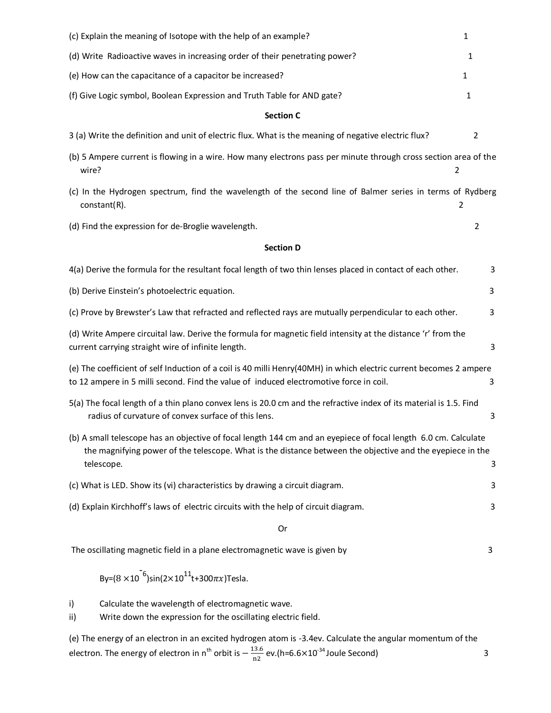| (c) Explain the meaning of Isotope with the help of an example?<br>$\mathbf{1}$                                                                                                                                                            |   |  |  |  |
|--------------------------------------------------------------------------------------------------------------------------------------------------------------------------------------------------------------------------------------------|---|--|--|--|
| (d) Write Radioactive waves in increasing order of their penetrating power?                                                                                                                                                                |   |  |  |  |
| (e) How can the capacitance of a capacitor be increased?<br>1                                                                                                                                                                              |   |  |  |  |
| (f) Give Logic symbol, Boolean Expression and Truth Table for AND gate?<br>1                                                                                                                                                               |   |  |  |  |
| <b>Section C</b>                                                                                                                                                                                                                           |   |  |  |  |
| 3 (a) Write the definition and unit of electric flux. What is the meaning of negative electric flux?                                                                                                                                       | 2 |  |  |  |
| (b) 5 Ampere current is flowing in a wire. How many electrons pass per minute through cross section area of the<br>wire?<br>2                                                                                                              |   |  |  |  |
| (c) In the Hydrogen spectrum, find the wavelength of the second line of Balmer series in terms of Rydberg<br>$constant(R)$ .<br>$\overline{2}$                                                                                             |   |  |  |  |
| (d) Find the expression for de-Broglie wavelength.                                                                                                                                                                                         | 2 |  |  |  |
| <b>Section D</b>                                                                                                                                                                                                                           |   |  |  |  |
| 4(a) Derive the formula for the resultant focal length of two thin lenses placed in contact of each other.                                                                                                                                 | 3 |  |  |  |
| (b) Derive Einstein's photoelectric equation.                                                                                                                                                                                              |   |  |  |  |
| (c) Prove by Brewster's Law that refracted and reflected rays are mutually perpendicular to each other.                                                                                                                                    | 3 |  |  |  |
| (d) Write Ampere circuital law. Derive the formula for magnetic field intensity at the distance 'r' from the<br>current carrying straight wire of infinite length.                                                                         | 3 |  |  |  |
| (e) The coefficient of self Induction of a coil is 40 milli Henry(40MH) in which electric current becomes 2 ampere<br>to 12 ampere in 5 milli second. Find the value of induced electromotive force in coil.                               | 3 |  |  |  |
| 5(a) The focal length of a thin plano convex lens is 20.0 cm and the refractive index of its material is 1.5. Find<br>radius of curvature of convex surface of this lens.                                                                  | 3 |  |  |  |
| (b) A small telescope has an objective of focal length 144 cm and an eyepiece of focal length 6.0 cm. Calculate<br>the magnifying power of the telescope. What is the distance between the objective and the eyepiece in the<br>telescope. | 3 |  |  |  |
| (c) What is LED. Show its (vi) characteristics by drawing a circuit diagram.                                                                                                                                                               | 3 |  |  |  |
| (d) Explain Kirchhoff's laws of electric circuits with the help of circuit diagram.                                                                                                                                                        |   |  |  |  |
| Or                                                                                                                                                                                                                                         |   |  |  |  |
| The oscillating magnetic field in a plane electromagnetic wave is given by                                                                                                                                                                 | 3 |  |  |  |
| By= $(8 \times 10^{-6})$ sin $(2 \times 10^{11}$ t+300 $\pi x$ )Tesla.                                                                                                                                                                     |   |  |  |  |
| Calculate the wavelength of electromagnetic wave.<br>i)<br>Write down the expression for the oscillating electric field.<br>ii)                                                                                                            |   |  |  |  |
| (e) The energy of an electron in an excited hydrogen atom is -3.4ev. Calculate the angular momentum of the<br>electron. The energy of electron in n <sup>th</sup> orbit is $-\frac{13.6}{n^2}$ ev.(h=6.6×10 <sup>-34</sup> Joule Second)   | 3 |  |  |  |